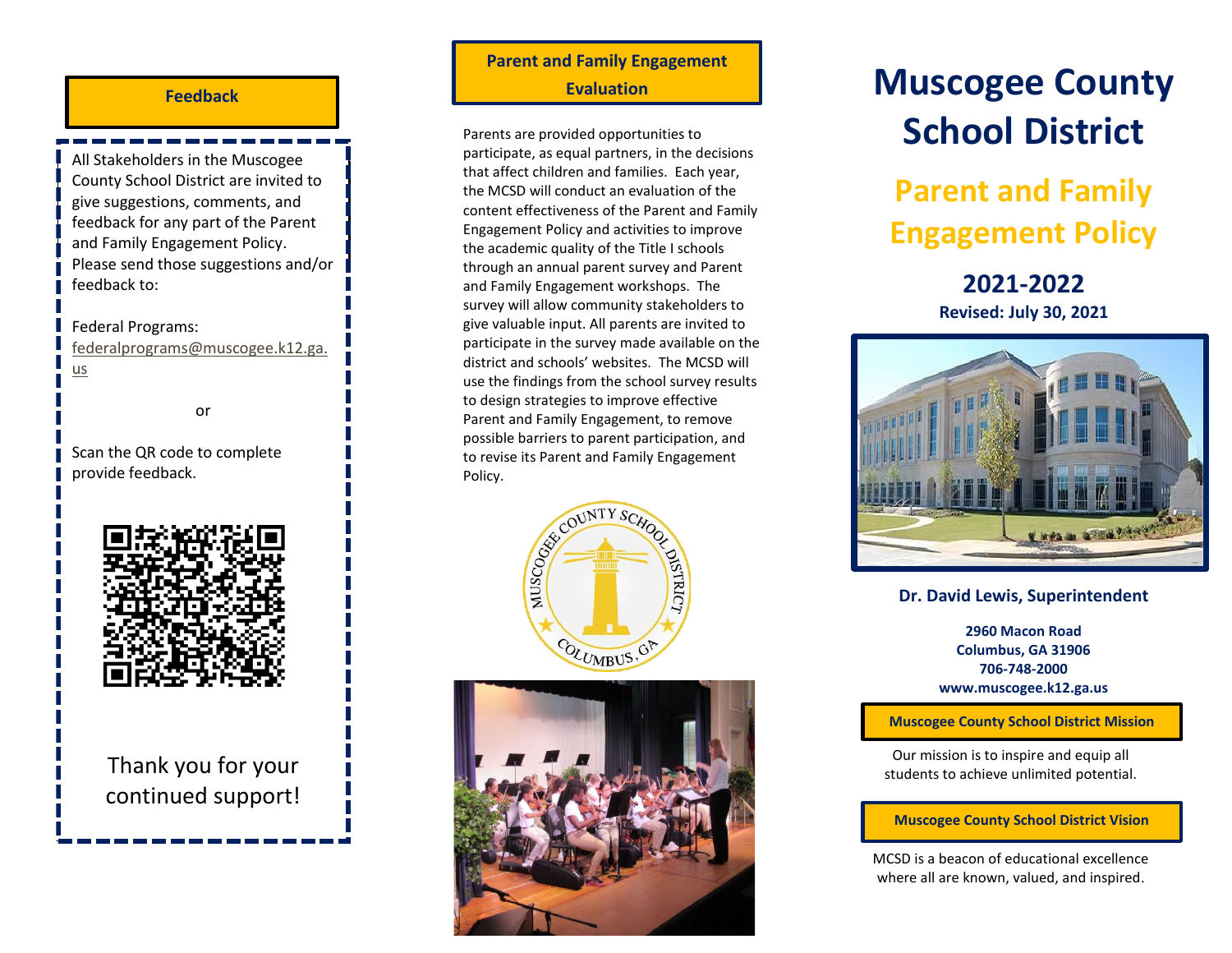### **Feedback**

County School District are invited to give suggestions, comments, and **School-Compact developed and revised?** and Family Engagement Policy. All Stakeholders in the Muscogee feedback for any part of the Parent Please send those suggestions and/or feedback to:

### Federal Programs:

[federalprograms@muscogee.k12.ga.](mailto:federalprograms@muscogee.k12.ga.us) [us](mailto:federalprograms@muscogee.k12.ga.us)

or

Scan the QR code to complete provide feedback.



Thank you for your continued support!

# **Parent and Family Engagement Evaluation**

Parents are provided opportunities to participate, as equal partners, in the decisions that affect children and families. Each year, the MCSD will conduct an evaluation of the content effectiveness of the Parent and Family Engagement Policy and activities to improve the academic quality of the Title I schools through an annual parent survey and Parent and Family Engagement workshops. The survey will allow community stakeholders to give valuable input. All parents are invited to participate in the survey made available on the district and schools' websites. The MCSD will use the findings from the school survey results to design strategies to improve effective Parent and Family Engagement, to remove possible barriers to parent participation, and to revise its Parent and Family Engagement





# **Muscogee County School District**

# **Parent and Family Engagement Policy**

## **2021-2022 Revised: July 30, 2021**



### **Dr. David Lewis, Superintendent**

**2960 Macon Road Columbus, GA 31906 706-748-2000 www.muscogee.k12.ga.us**

**Muscogee County School District Mission**

Our mission is to inspire and equip all students to achieve unlimited potential.

### **Muscogee County School District Vision**

MCSD is a beacon of educational excellence where all are known, valued, and inspired.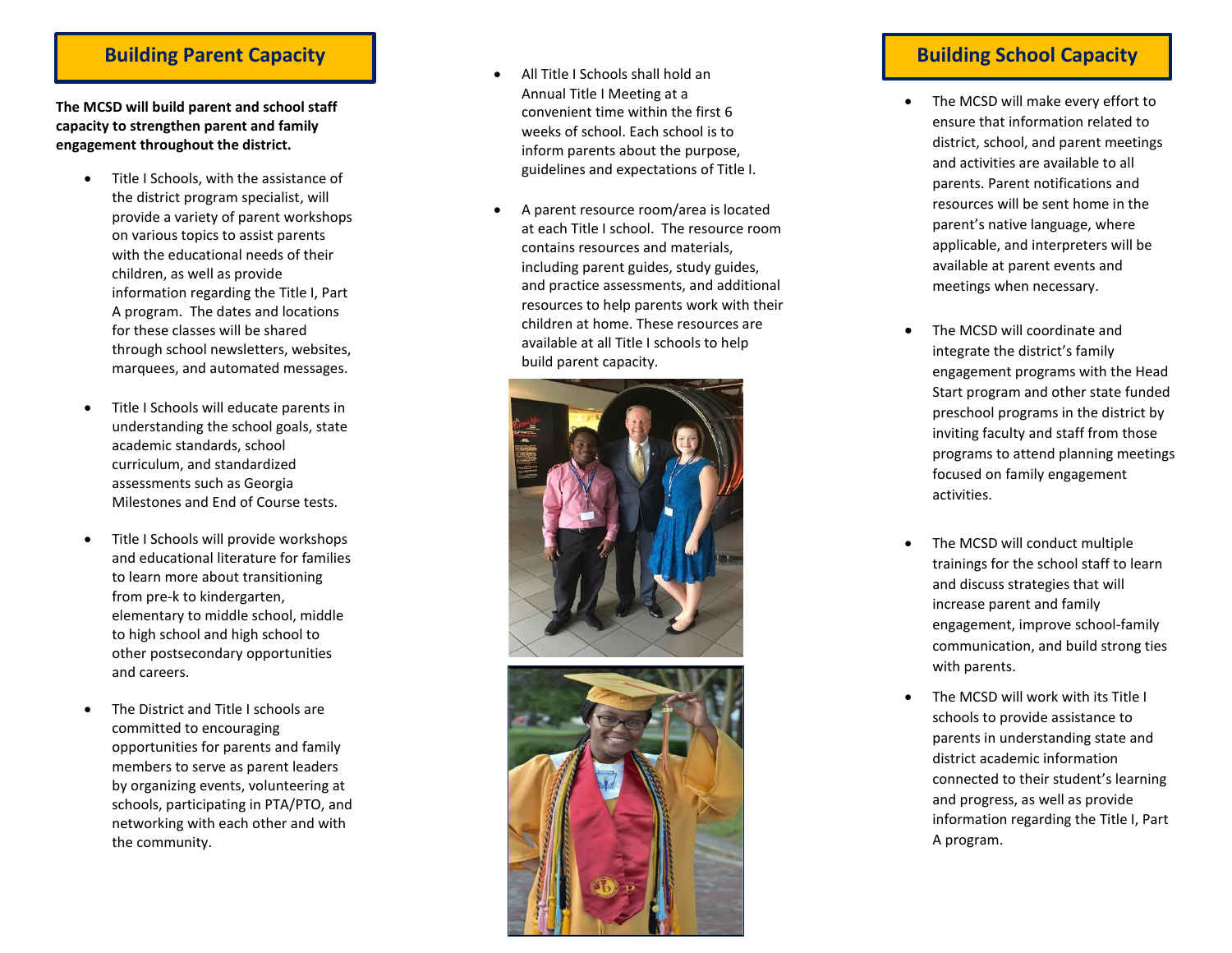### **Building Parent Capacity Building School Capacity**

**The MCSD will build parent and school staff capacity to strengthen parent and family engagement throughout the district.** 

- Title I Schools, with the assistance of the district program specialist , will provide a variety of parent workshops on various topics to assist parents with the educational needs of their children, as well as provide information regarding the Title I, Part A program. The dates and locations for these classes will be shared through school newsletters, websites, marquees, and automated messages.
- Title I Schools will educate parents in understanding the school goals, state academic standards, school curriculum, and standardized assessments such as Georgia Milestones and End of Course tests.
- Title I Schools will provide workshops and educational literature for families to learn more about transitioning from pre -k to kindergarten, elementary to middle school, middle to high school and high school to other postsecondary opportunities and careers.
- The District and Title I schools are committed to encouraging opportunities for parents and family members to serve as parent leaders by organizing events, volunteering at school s, participating in PTA/PTO, and networking with each other and with the community.
- All Title I Schools shall hold an Annual Title I Meeting at a convenient time within the first 6 weeks of school. Each school is to inform parents about the purpose, guidelines and expectations of Title I.
- A parent resource room/area is located at each Title I school. The resource room contains resources and materials, including parent guides, study guides, and practice assessments, and additional resources to help parents work with their children at home. These resources are available at all Title I schools to help build parent capacity.





- The MCSD will make every effort to ensure that information related to district, school, and parent meetings and activities are available to all parents. Parent notifications and resources will be sent home in the parent 's native language, where applicable, and interpreters will be available at parent events and meetings when necessary.
- The MCSD will coordinate and integrate the district 's family engagement programs with the Head Start program and other state funded preschool programs in the district by inviting faculty and staff from those programs to attend planning meetings focused on family engagement activities.
- The MCSD will conduct multiple trainings for the school staff to learn and discuss strategies that will increase parent and family engagement, improve school -family communication, and build strong ties with parents.
- The MCSD will work with its Title I schools to provide assistance to parents in understanding state and district academic information connected to their student 's learning and progress, as well as provide information regarding the Title I, Part A program.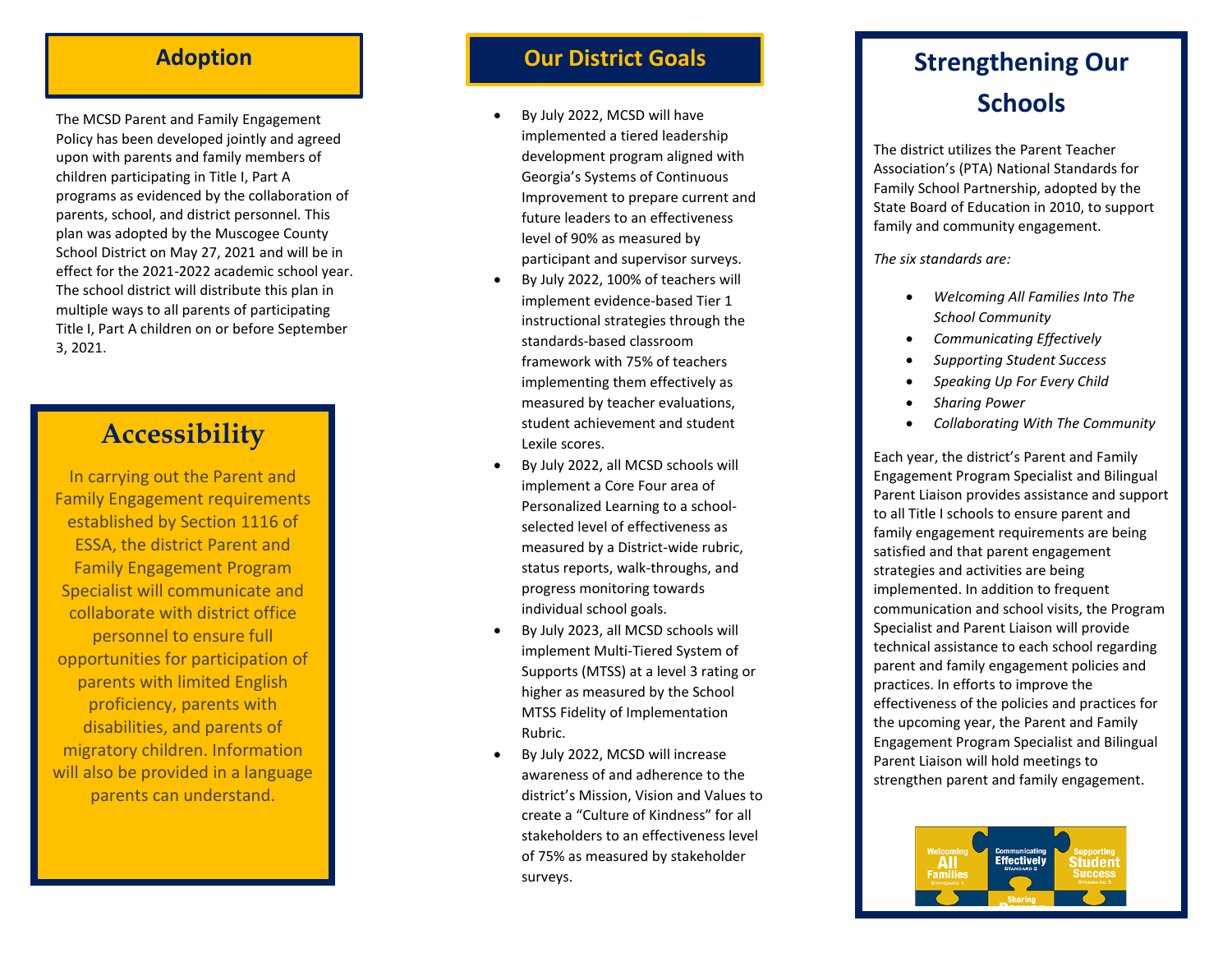The MCSD Parent and Family Engagement Policy has been developed jointly and agreed upon with parents and family members of children participating in Title I, Part A programs as evidenced by the collaboration of parents, school, and district personnel. This plan was adopted by the Muscogee County School District on May 27, 2021 and will be in effect for the 2021 -2022 academic school year. The school district will distribute this plan in multiple ways to all parents of participating Title I, Part A children on or before September 3, 2021 .

# **Accessibility**

In carrying out the Parent and Family Engagement requirements established by Section 1116 of ESSA, the district Parent and Family Engagement Program Specialist will communicate and collaborate with district office personnel to ensure full opportunities for participation of parents with limited English proficiency, parents with disabilities, and parents of migratory children. Information will also be provided in a language parents can understand.

# **Adoption Community Community Community Community Community Community Community Community Community Community Community Community Community Community Community Community Community Community Community Community Community Co**

- By July 2022, MCSD will have implemented a tiered leadership development program aligned with Georgia's Systems of Continuous Improvement to prepare current and future leaders to an effectiveness level of 90% as measured by participant and supervisor surveys.
- By July 2022, 100% of teachers will implement evidence -based Tier 1 instructional strategies through the standards -based classroom framework with 75% of teachers implementing them effectively as measured by teacher evaluations, student achievement and student Lexile scores.
- By July 2022, all MCSD schools will implement a Core Four area of Personalized Learning to a school selected level of effectiveness as measured by a District -wide rubric, status reports, walk -throughs, and progress monitoring towards individual school goals.
- By July 2023, all MCSD schools will implement Multi -Tiered System of Supports (MTSS) at a level 3 rating or higher as measured by the School MTSS Fidelity of Implementation Rubric.
- By July 2022, MCSD will increase awareness of and adherence to the district's Mission, Vision and Values to create a "Culture of Kindness" for all stakeholders to an effectiveness level of 75% as measured by stakeholder surveys .

# **Strengthening Our Schools**

The district utilizes the Parent Teacher Association's (PTA) National Standards for Family School Partnership, adopted by the State Board of Education in 2010, to support family and community engagement.

*The six standards are:*

- *Welcoming All Families Into The School Community*
- *Communicating Effectively*
- *Supporting Student Success*
- *Speaking Up For Every Child*
- *Sharing Power*
- *Collaborating With The Community*

Each year, the district's Parent and Family Engagement Program Specialist and Bilingual Parent Liaison provides assistance and support to all Title I schools to ensure parent and family engagement requirements are being satisfied and that parent engagement strategies and activities are being implemented. In addition to frequent communication and school visits, the Program<br>Specialist and Parent Liaison will provide technical assistance to each school regarding parent and family engagement policies and practices. In efforts to improve the effectiveness of the policies and practices for the upcoming year, the Parent and Family Engagement Program Specialist and Bilingual Parent Liaison will hold meetings to strengthen parent and family engagement.